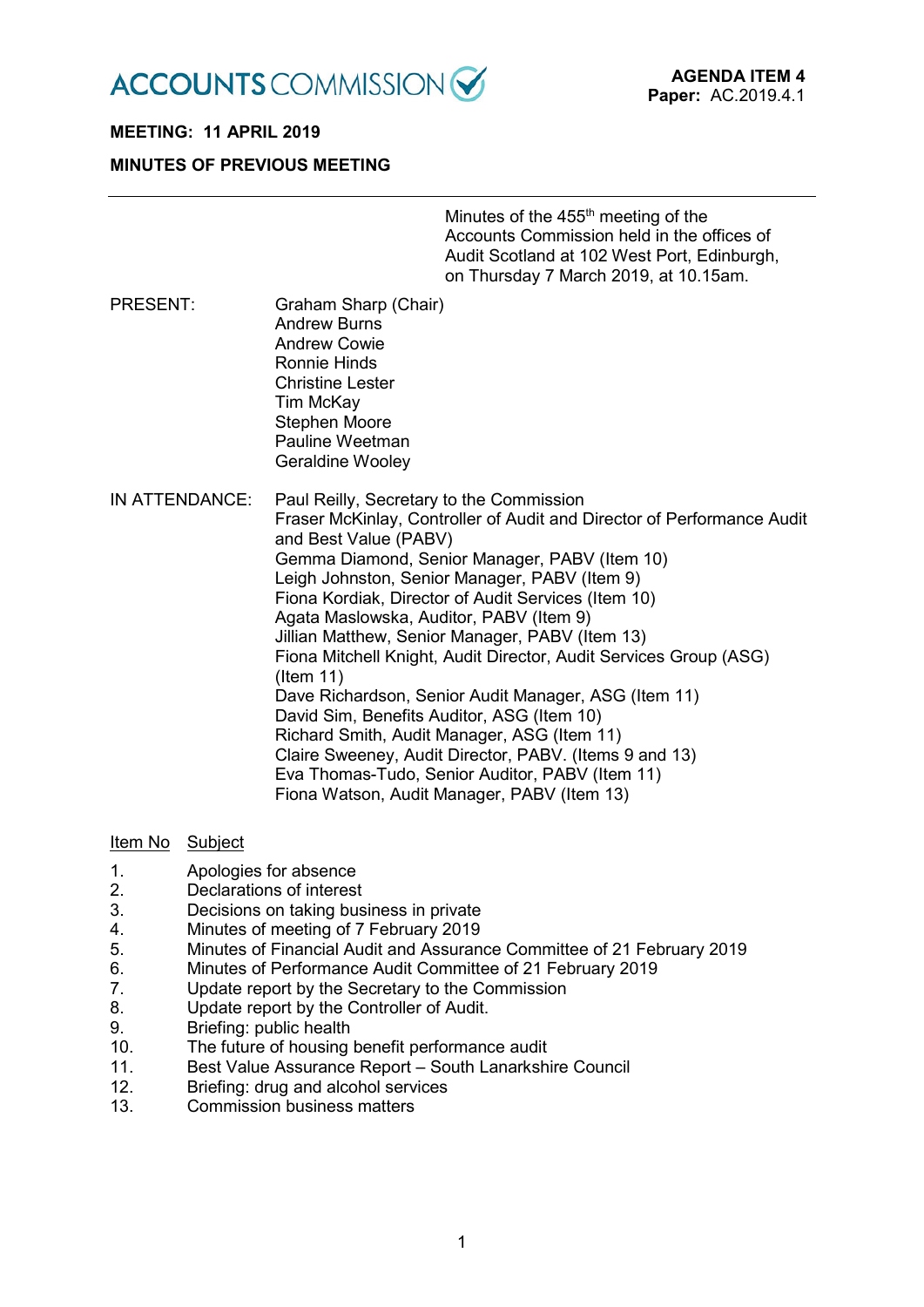

# **MEETING: 11 APRIL 2019**

### **MINUTES OF PREVIOUS MEETING**

Minutes of the  $455<sup>th</sup>$  meeting of the Accounts Commission held in the offices of Audit Scotland at 102 West Port, Edinburgh, on Thursday 7 March 2019, at 10.15am.

- PRESENT: Graham Sharp (Chair) Andrew Burns Andrew Cowie Ronnie Hinds Christine Lester Tim McKay Stephen Moore Pauline Weetman Geraldine Wooley
- IN ATTENDANCE: Paul Reilly, Secretary to the Commission Fraser McKinlay, Controller of Audit and Director of Performance Audit and Best Value (PABV) Gemma Diamond, Senior Manager, PABV (Item 10) Leigh Johnston, Senior Manager, PABV (Item 9) Fiona Kordiak, Director of Audit Services (Item 10) Agata Maslowska, Auditor, PABV (Item 9) Jillian Matthew, Senior Manager, PABV (Item 13) Fiona Mitchell Knight, Audit Director, Audit Services Group (ASG) (Item 11) Dave Richardson, Senior Audit Manager, ASG (Item 11) David Sim, Benefits Auditor, ASG (Item 10) Richard Smith, Audit Manager, ASG (Item 11) Claire Sweeney, Audit Director, PABV. (Items 9 and 13) Eva Thomas-Tudo, Senior Auditor, PABV (Item 11) Fiona Watson, Audit Manager, PABV (Item 13)

#### Item No Subject

- 1. Apologies for absence
- 2. Declarations of interest
- 3. Decisions on taking business in private
- 4. Minutes of meeting of 7 February 2019
- 5. Minutes of Financial Audit and Assurance Committee of 21 February 2019
- 6. Minutes of Performance Audit Committee of 21 February 2019
- 7. Update report by the Secretary to the Commission
- 8. Update report by the Controller of Audit.
- 9. Briefing: public health
- 10. The future of housing benefit performance audit
- 11. Best Value Assurance Report South Lanarkshire Council
- 12. Briefing: drug and alcohol services
- 13. Commission business matters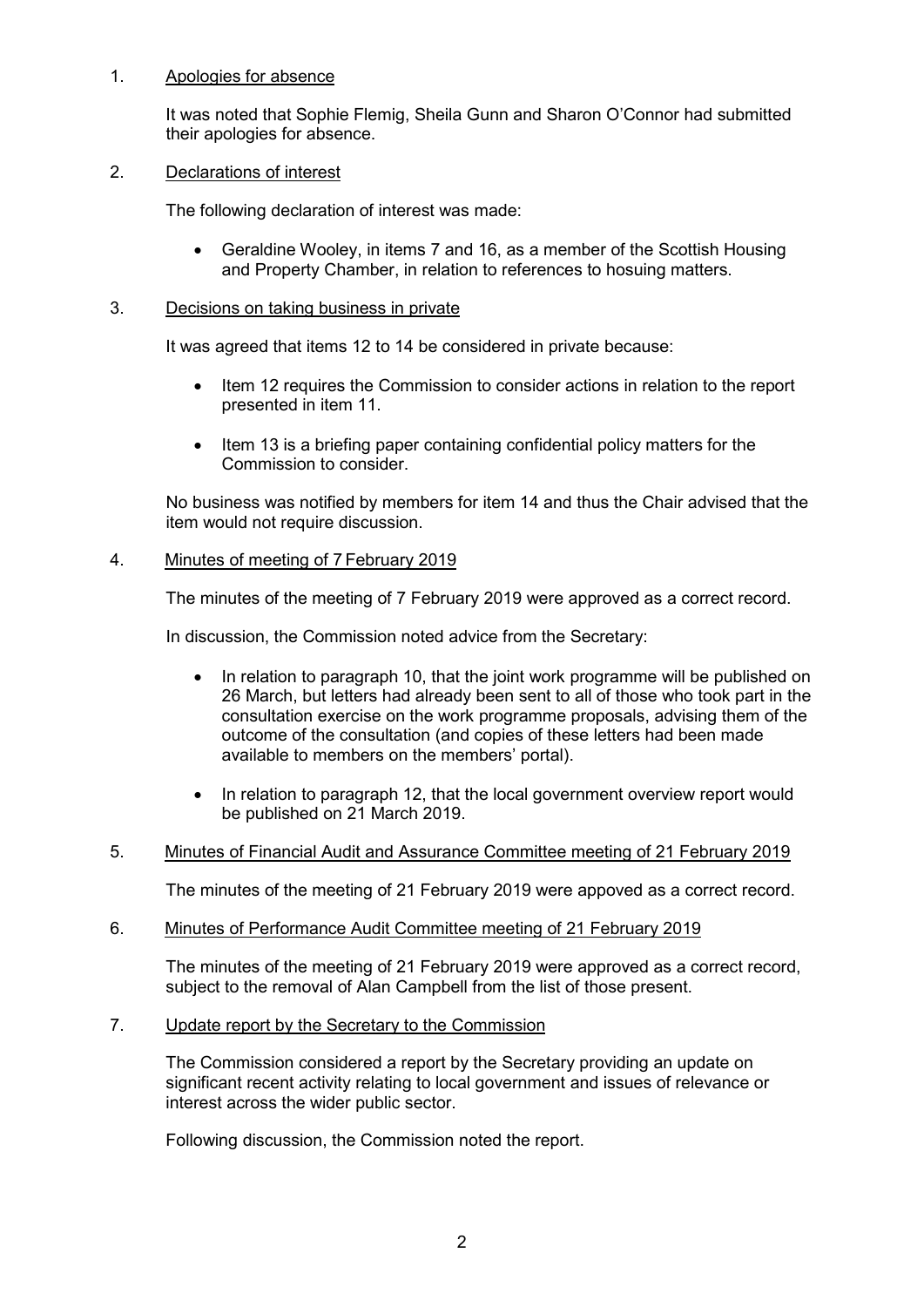## 1. Apologies for absence

It was noted that Sophie Flemig, Sheila Gunn and Sharon O'Connor had submitted their apologies for absence.

### 2. Declarations of interest

The following declaration of interest was made:

• Geraldine Wooley, in items 7 and 16, as a member of the Scottish Housing and Property Chamber, in relation to references to hosuing matters.

### 3. Decisions on taking business in private

It was agreed that items 12 to 14 be considered in private because:

- Item 12 requires the Commission to consider actions in relation to the report presented in item 11.
- Item 13 is a briefing paper containing confidential policy matters for the Commission to consider.

No business was notified by members for item 14 and thus the Chair advised that the item would not require discussion.

### 4. Minutes of meeting of 7 February 2019

The minutes of the meeting of 7 February 2019 were approved as a correct record.

In discussion, the Commission noted advice from the Secretary:

- In relation to paragraph 10, that the joint work programme will be published on 26 March, but letters had already been sent to all of those who took part in the consultation exercise on the work programme proposals, advising them of the outcome of the consultation (and copies of these letters had been made available to members on the members' portal).
- In relation to paragraph 12, that the local government overview report would be published on 21 March 2019.

## 5. Minutes of Financial Audit and Assurance Committee meeting of 21 February 2019

The minutes of the meeting of 21 February 2019 were appoved as a correct record.

6. Minutes of Performance Audit Committee meeting of 21 February 2019

The minutes of the meeting of 21 February 2019 were approved as a correct record, subject to the removal of Alan Campbell from the list of those present.

#### 7. Update report by the Secretary to the Commission

The Commission considered a report by the Secretary providing an update on significant recent activity relating to local government and issues of relevance or interest across the wider public sector.

Following discussion, the Commission noted the report.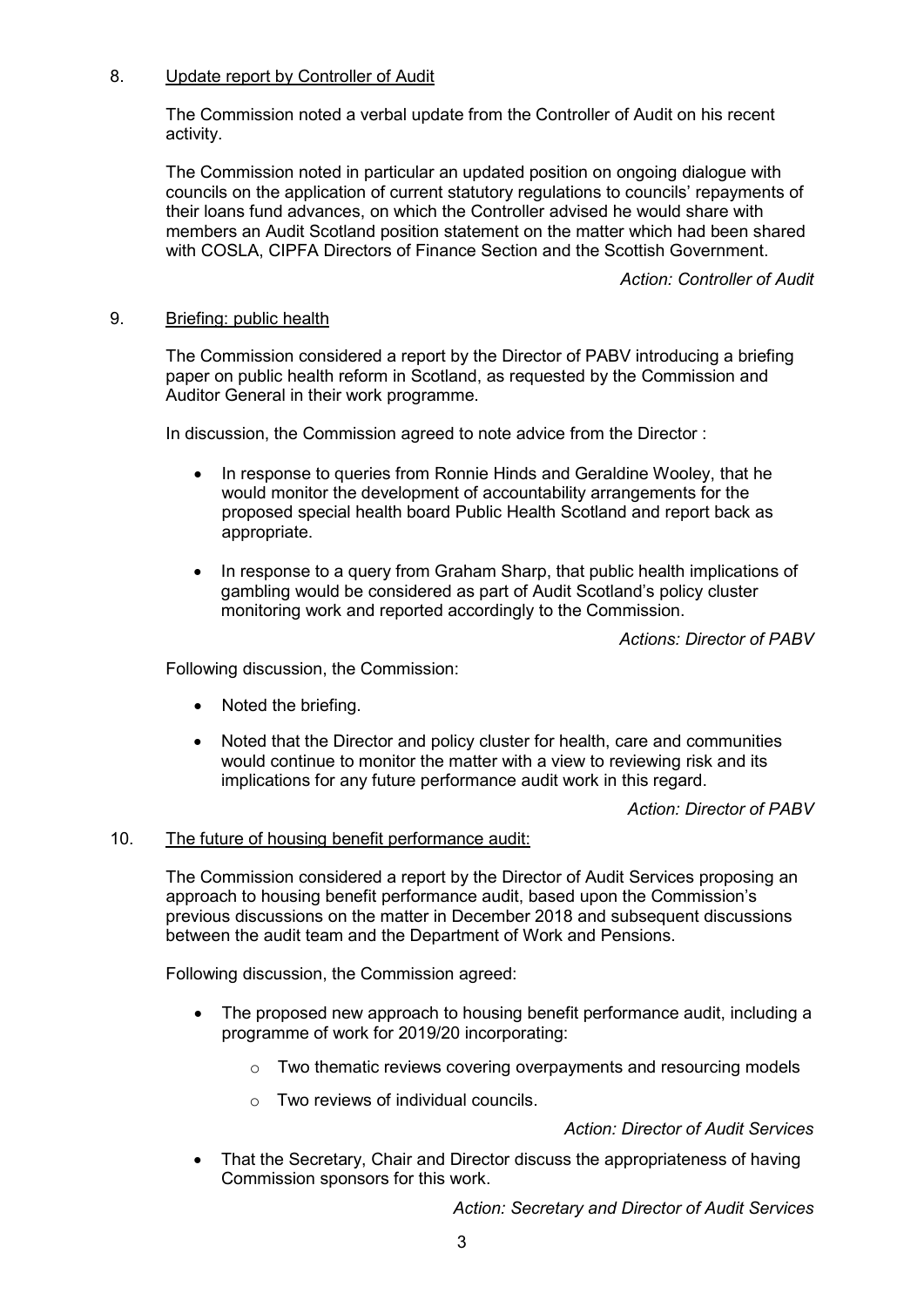# 8. Update report by Controller of Audit

The Commission noted a verbal update from the Controller of Audit on his recent activity.

The Commission noted in particular an updated position on ongoing dialogue with councils on the application of current statutory regulations to councils' repayments of their loans fund advances, on which the Controller advised he would share with members an Audit Scotland position statement on the matter which had been shared with COSLA, CIPFA Directors of Finance Section and the Scottish Government.

*Action: Controller of Audit*

## 9. Briefing: public health

The Commission considered a report by the Director of PABV introducing a briefing paper on public health reform in Scotland, as requested by the Commission and Auditor General in their work programme.

In discussion, the Commission agreed to note advice from the Director :

- In response to queries from Ronnie Hinds and Geraldine Wooley, that he would monitor the development of accountability arrangements for the proposed special health board Public Health Scotland and report back as appropriate.
- In response to a query from Graham Sharp, that public health implications of gambling would be considered as part of Audit Scotland's policy cluster monitoring work and reported accordingly to the Commission.

*Actions: Director of PABV*

Following discussion, the Commission:

- Noted the briefing.
- Noted that the Director and policy cluster for health, care and communities would continue to monitor the matter with a view to reviewing risk and its implications for any future performance audit work in this regard.

*Action: Director of PABV*

## 10. The future of housing benefit performance audit:

The Commission considered a report by the Director of Audit Services proposing an approach to housing benefit performance audit, based upon the Commission's previous discussions on the matter in December 2018 and subsequent discussions between the audit team and the Department of Work and Pensions.

Following discussion, the Commission agreed:

- The proposed new approach to housing benefit performance audit, including a programme of work for 2019/20 incorporating:
	- o Two thematic reviews covering overpayments and resourcing models
	- $\circ$  Two reviews of individual councils.

*Action: Director of Audit Services*

• That the Secretary, Chair and Director discuss the appropriateness of having Commission sponsors for this work.

*Action: Secretary and Director of Audit Services*